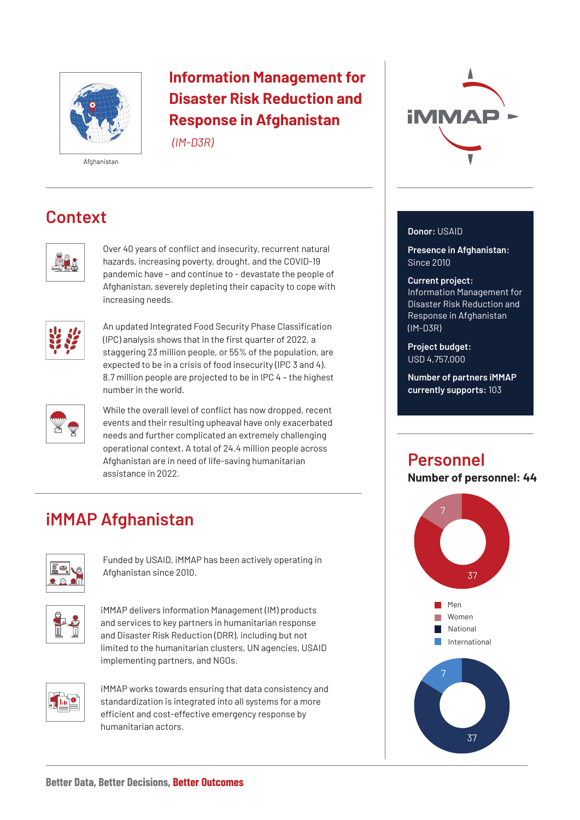

## **Information Management for Disaster Risk Reduction and Response in Afghanistan**

*(IM-D3R)*

#### Afghanistan

# **Context**



Over 40 years of conflict and insecurity, recurrent natural hazards, increasing poverty, drought, and the COVID-19 pandemic have – and continue to - devastate the people of Afghanistan, severely depleting their capacity to cope with increasing needs.



An updated Integrated Food Security Phase Classification (IPC) analysis shows that in the first quarter of 2022, a staggering 23 million people, or 55% of the population, are expected to be in a crisis of food insecurity (IPC 3 and 4). 8.7 million people are projected to be in IPC 4 – the highest number in the world.



While the overall level of conflict has now dropped, recent events and their resulting upheaval have only exacerbated needs and further complicated an extremely challenging operational context. A total of 24.4 million people across Afghanistan are in need of life-saving humanitarian assistance in 2022.

# **iMMAP Afghanistan**



Funded by USAID, iMMAP has been actively operating in Afghanistan since 2010.



iMMAP delivers Information Management (IM) products and services to key partners in humanitarian response and Disaster Risk Reduction (DRR), including but not limited to the humanitarian clusters, UN agencies, USAID implementing partners, and NGOs.



iMMAP works towards ensuring that data consistency and standardization is integrated into all systems for a more efficient and cost-effective emergency response by humanitarian actors.



### **Donor:** USAID

**Presence in Afghanistan:**  Since 2010

#### **Current project:**

Information Management for Disaster Risk Reduction and Response in Afghanistan (IM-D3R)

**Project budget:**  USD 4,757,000

**Number of partners iMMAP currently supports:** 103

## **Personnel**

**Number of personnel: 44**